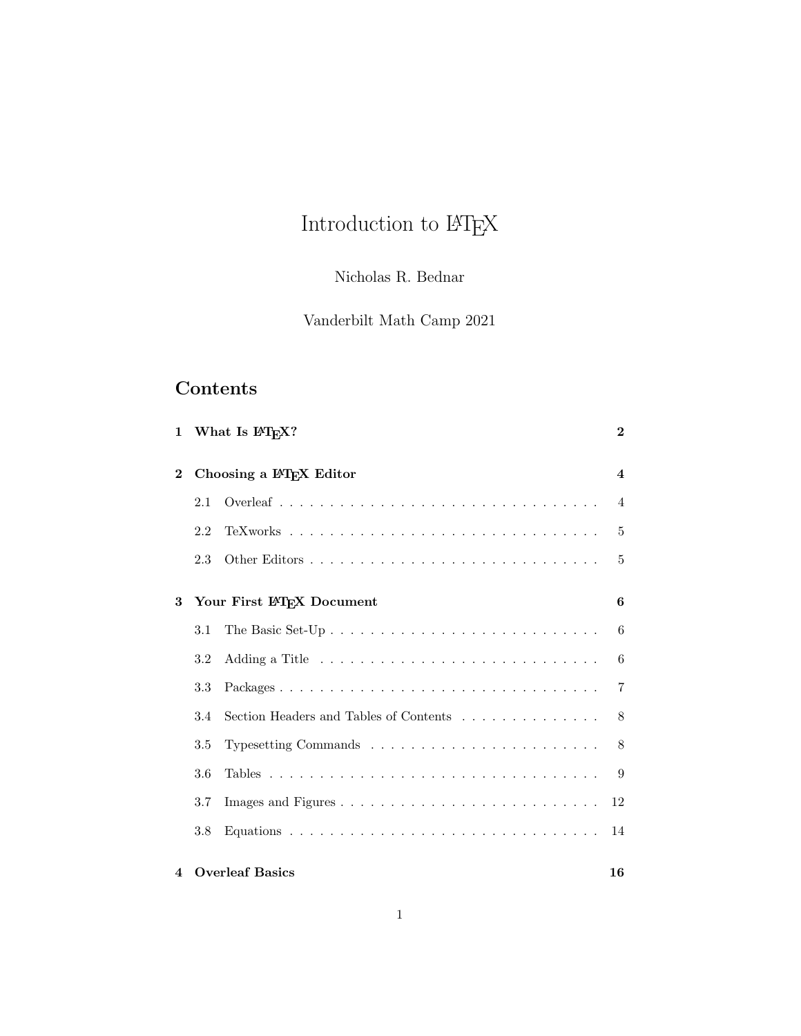# Introduction to  $\ensuremath{\mathrm{LMT} \xspace_\mathrm{E}\! X}$

# Nicholas R. Bednar

# Vanderbilt Math Camp 2021

# Contents

|                |     | 1 What Is I <sup>2</sup> T <sub>F</sub> X? | $\mathbf{2}$     |
|----------------|-----|--------------------------------------------|------------------|
| $\bf{2}$       |     | Choosing a IATEX Editor                    | $\boldsymbol{4}$ |
|                | 2.1 |                                            | $\overline{4}$   |
|                | 2.2 |                                            | 5                |
|                | 2.3 |                                            | $\overline{5}$   |
| 3              |     | Your First IATEX Document                  | 6                |
|                | 3.1 |                                            | 6                |
|                | 3.2 |                                            | 6                |
|                | 3.3 |                                            | $\overline{7}$   |
|                | 3.4 | Section Headers and Tables of Contents     | 8                |
|                | 3.5 |                                            | 8                |
|                | 3.6 |                                            | 9                |
|                | 3.7 |                                            | 12               |
|                | 3.8 |                                            | 14               |
| $\overline{4}$ |     | <b>Overleaf Basics</b>                     | 16               |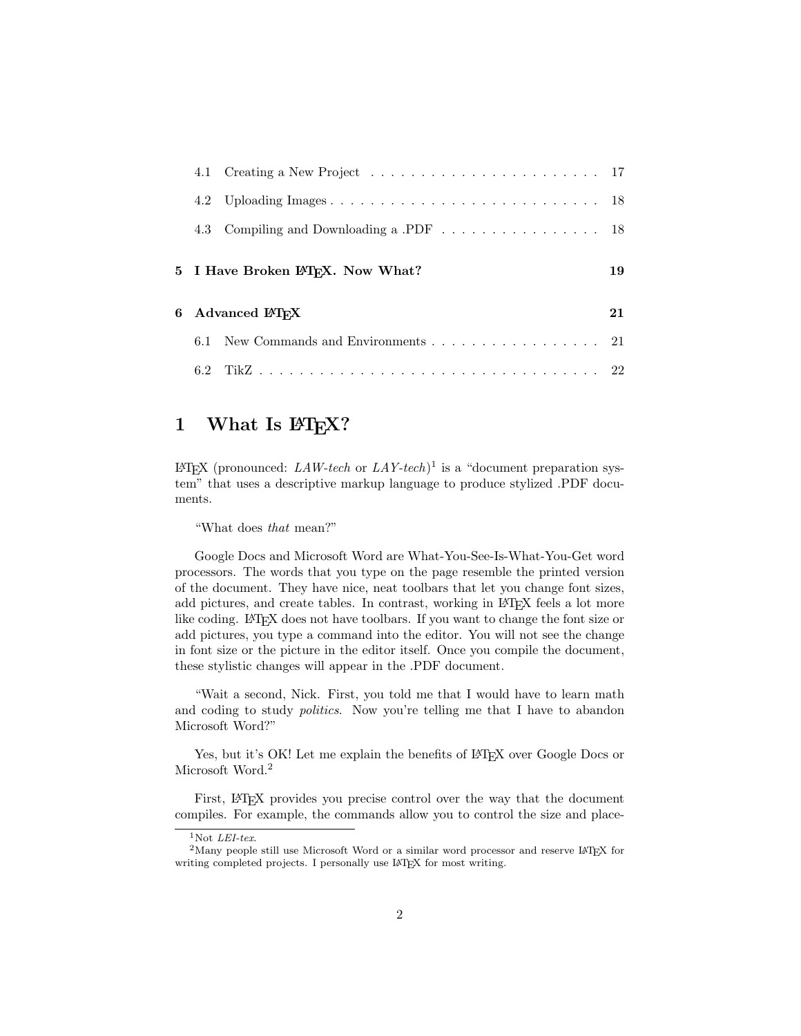|     | 4.3 Compiling and Downloading a .PDF 18       |    |
|-----|-----------------------------------------------|----|
|     | 5 I Have Broken IAT <sub>F</sub> X. Now What? | 19 |
|     | 6 Advanced $\rm \emph{BTrX}$                  | 21 |
| 6.1 | New Commands and Environments 21              |    |
|     |                                               |    |

# <span id="page-1-0"></span>1 What Is IAT<sub>E</sub>X?

 $\mathbb{L}$ EX (pronounced:  $\mathbb{L}AW\text{-}tech$  or  $\mathbb{L}AY\text{-}tech$ )<sup>[1](#page-1-1)</sup> is a "document preparation system" that uses a descriptive markup language to produce stylized .PDF documents.

"What does that mean?"

Google Docs and Microsoft Word are What-You-See-Is-What-You-Get word processors. The words that you type on the page resemble the printed version of the document. They have nice, neat toolbars that let you change font sizes, add pictures, and create tables. In contrast, working in LAT<sub>EX</sub> feels a lot more like coding. LATEX does not have toolbars. If you want to change the font size or add pictures, you type a command into the editor. You will not see the change in font size or the picture in the editor itself. Once you compile the document, these stylistic changes will appear in the .PDF document.

"Wait a second, Nick. First, you told me that I would have to learn math and coding to study politics. Now you're telling me that I have to abandon Microsoft Word?"

Yes, but it's OK! Let me explain the benefits of LATEX over Google Docs or Microsoft Word.<sup>[2](#page-1-2)</sup>

First, LAT<sub>E</sub>X provides you precise control over the way that the document compiles. For example, the commands allow you to control the size and place-

<span id="page-1-2"></span><span id="page-1-1"></span> $1$ Not *LEI-tex*.

<sup>&</sup>lt;sup>2</sup>Many people still use Microsoft Word or a similar word processor and reserve LAT<sub>E</sub>X for writing completed projects. I personally use LAT<sub>E</sub>X for most writing.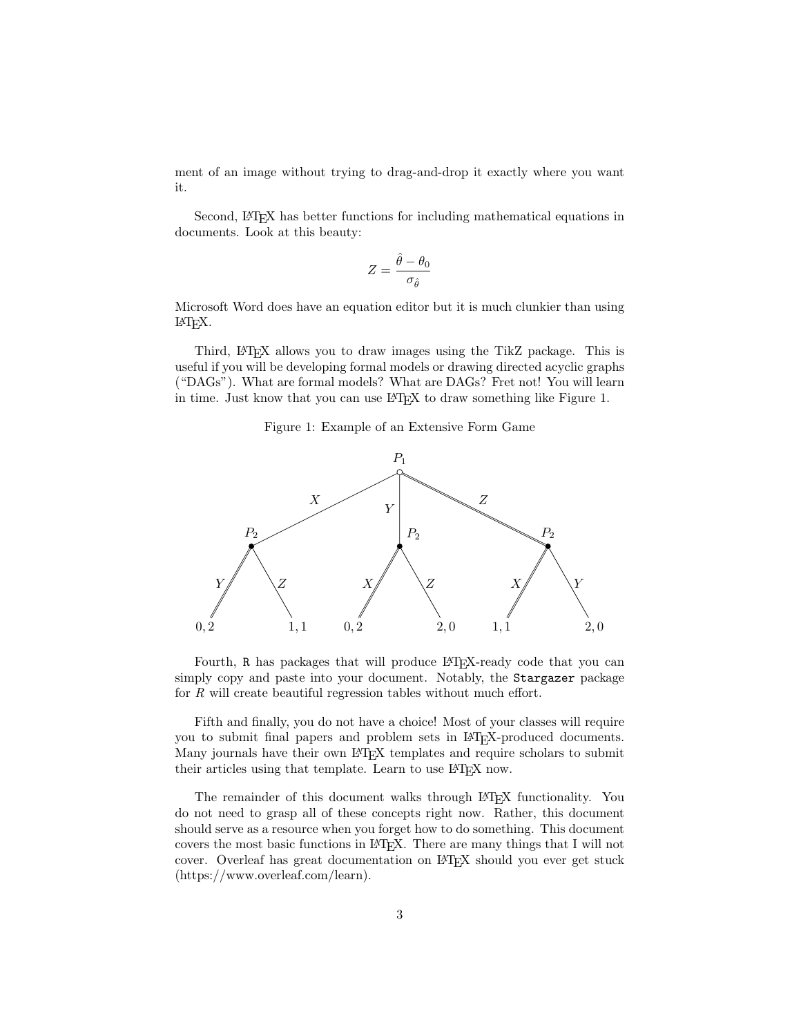ment of an image without trying to drag-and-drop it exactly where you want it.

Second, L<sup>AT</sup>EX has better functions for including mathematical equations in documents. Look at this beauty:

$$
Z = \frac{\hat{\theta} - \theta_0}{\sigma_{\hat{\theta}}}
$$

Microsoft Word does have an equation editor but it is much clunkier than using LATEX.

Third, LATEX allows you to draw images using the TikZ package. This is useful if you will be developing formal models or drawing directed acyclic graphs ("DAGs"). What are formal models? What are DAGs? Fret not! You will learn in time. Just know that you can use LAT<sub>EX</sub> to draw something like Figure 1.

#### Figure 1: Example of an Extensive Form Game



Fourth, R has packages that will produce LAT<sub>EX</sub>-ready code that you can simply copy and paste into your document. Notably, the Stargazer package for R will create beautiful regression tables without much effort.

Fifth and finally, you do not have a choice! Most of your classes will require you to submit final papers and problem sets in LATEX-produced documents. Many journals have their own IATEX templates and require scholars to submit their articles using that template. Learn to use IATEX now.

The remainder of this document walks through LAT<sub>EX</sub> functionality. You do not need to grasp all of these concepts right now. Rather, this document should serve as a resource when you forget how to do something. This document covers the most basic functions in LATEX. There are many things that I will not cover. Overleaf has great documentation on LATEX should you ever get stuck (https://www.overleaf.com/learn).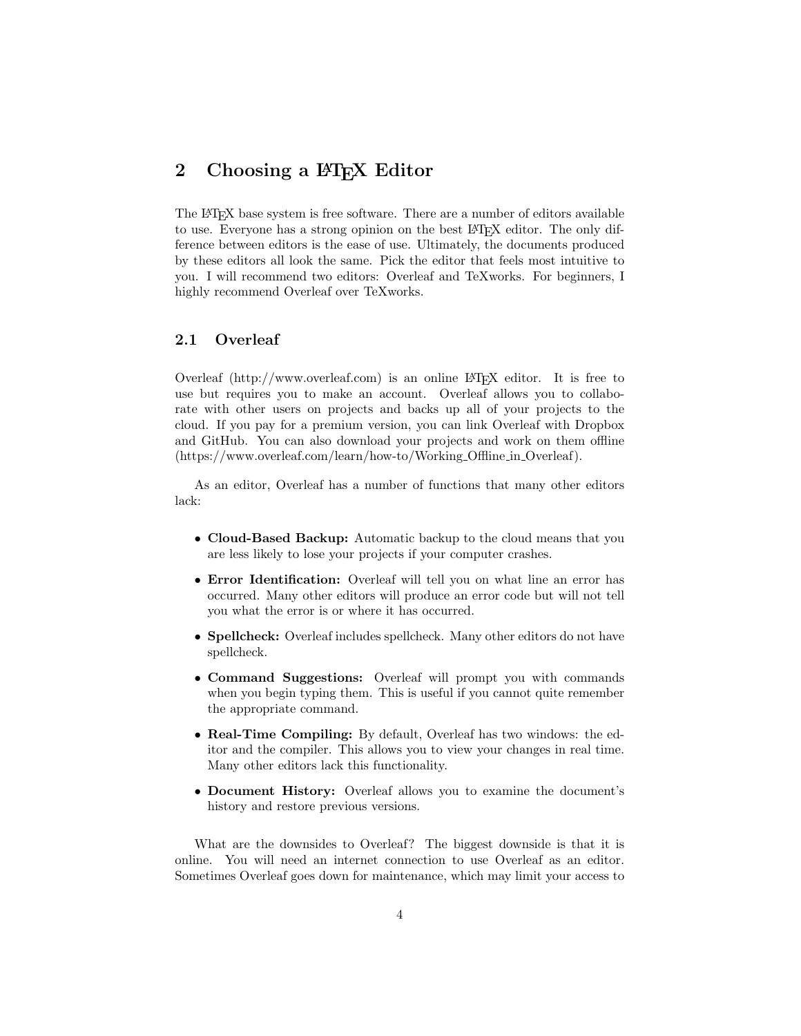# <span id="page-3-0"></span>2 Choosing a LAT<sub>E</sub>X Editor

The LATEX base system is free software. There are a number of editors available to use. Everyone has a strong opinion on the best L<sup>AT</sup>EX editor. The only difference between editors is the ease of use. Ultimately, the documents produced by these editors all look the same. Pick the editor that feels most intuitive to you. I will recommend two editors: Overleaf and TeXworks. For beginners, I highly recommend Overleaf over TeXworks.

#### <span id="page-3-1"></span>2.1 Overleaf

Overleaf  $(\text{http://www.overleaf.com})$  is an online LAT<sub>EX</sub> editor. It is free to use but requires you to make an account. Overleaf allows you to collaborate with other users on projects and backs up all of your projects to the cloud. If you pay for a premium version, you can link Overleaf with Dropbox and GitHub. You can also download your projects and work on them offline (https://www.overleaf.com/learn/how-to/Working Offline in Overleaf).

As an editor, Overleaf has a number of functions that many other editors lack:

- Cloud-Based Backup: Automatic backup to the cloud means that you are less likely to lose your projects if your computer crashes.
- Error Identification: Overleaf will tell you on what line an error has occurred. Many other editors will produce an error code but will not tell you what the error is or where it has occurred.
- Spellcheck: Overleaf includes spellcheck. Many other editors do not have spellcheck.
- Command Suggestions: Overleaf will prompt you with commands when you begin typing them. This is useful if you cannot quite remember the appropriate command.
- Real-Time Compiling: By default, Overleaf has two windows: the editor and the compiler. This allows you to view your changes in real time. Many other editors lack this functionality.
- Document History: Overleaf allows you to examine the document's history and restore previous versions.

What are the downsides to Overleaf? The biggest downside is that it is online. You will need an internet connection to use Overleaf as an editor. Sometimes Overleaf goes down for maintenance, which may limit your access to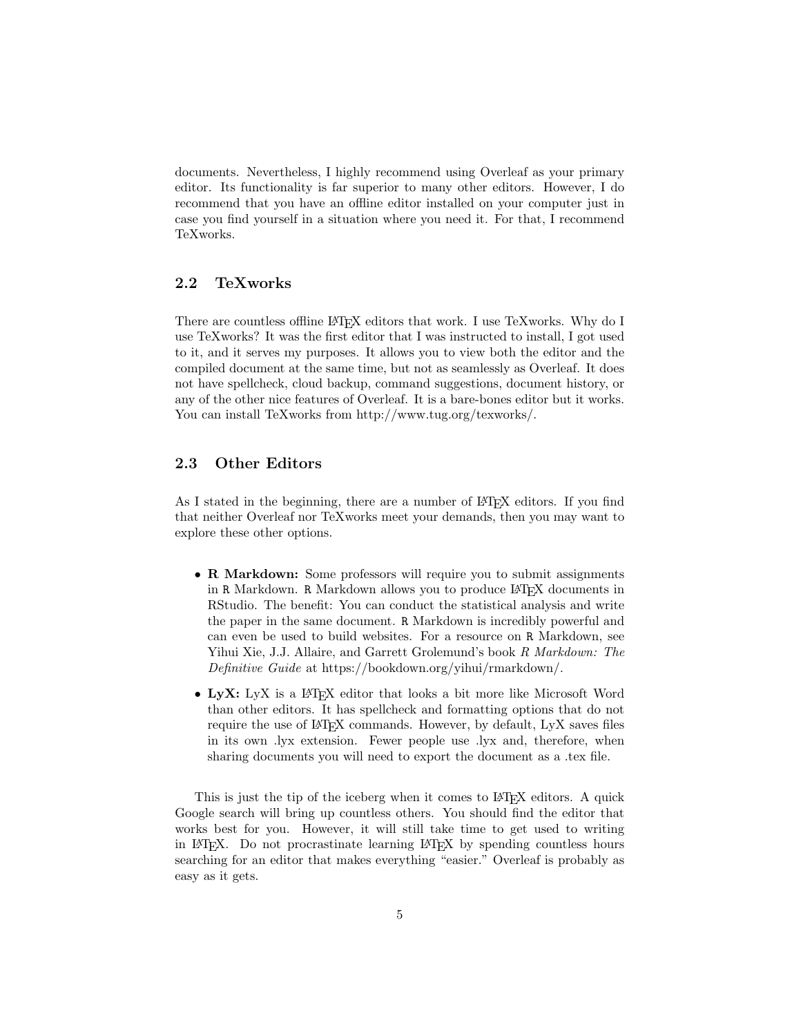documents. Nevertheless, I highly recommend using Overleaf as your primary editor. Its functionality is far superior to many other editors. However, I do recommend that you have an offline editor installed on your computer just in case you find yourself in a situation where you need it. For that, I recommend TeXworks.

### <span id="page-4-0"></span>2.2 TeXworks

There are countless offline LAT<sub>EX</sub> editors that work. I use TeXworks. Why do I use TeXworks? It was the first editor that I was instructed to install, I got used to it, and it serves my purposes. It allows you to view both the editor and the compiled document at the same time, but not as seamlessly as Overleaf. It does not have spellcheck, cloud backup, command suggestions, document history, or any of the other nice features of Overleaf. It is a bare-bones editor but it works. You can install TeXworks from http://www.tug.org/texworks/.

### <span id="page-4-1"></span>2.3 Other Editors

As I stated in the beginning, there are a number of LAT<sub>EX</sub> editors. If you find that neither Overleaf nor TeXworks meet your demands, then you may want to explore these other options.

- R Markdown: Some professors will require you to submit assignments in R Markdown. R Markdown allows you to produce LAT<sub>EX</sub> documents in RStudio. The benefit: You can conduct the statistical analysis and write the paper in the same document. R Markdown is incredibly powerful and can even be used to build websites. For a resource on R Markdown, see Yihui Xie, J.J. Allaire, and Garrett Grolemund's book R Markdown: The Definitive Guide at https://bookdown.org/yihui/rmarkdown/.
- LyX: LyX is a L<sup>A</sup>T<sub>EX</sub> editor that looks a bit more like Microsoft Word than other editors. It has spellcheck and formatting options that do not require the use of LAT<sub>EX</sub> commands. However, by default, LyX saves files in its own .lyx extension. Fewer people use .lyx and, therefore, when sharing documents you will need to export the document as a .tex file.

This is just the tip of the iceberg when it comes to LAT<sub>EX</sub> editors. A quick Google search will bring up countless others. You should find the editor that works best for you. However, it will still take time to get used to writing in LATEX. Do not procrastinate learning LATEX by spending countless hours searching for an editor that makes everything "easier." Overleaf is probably as easy as it gets.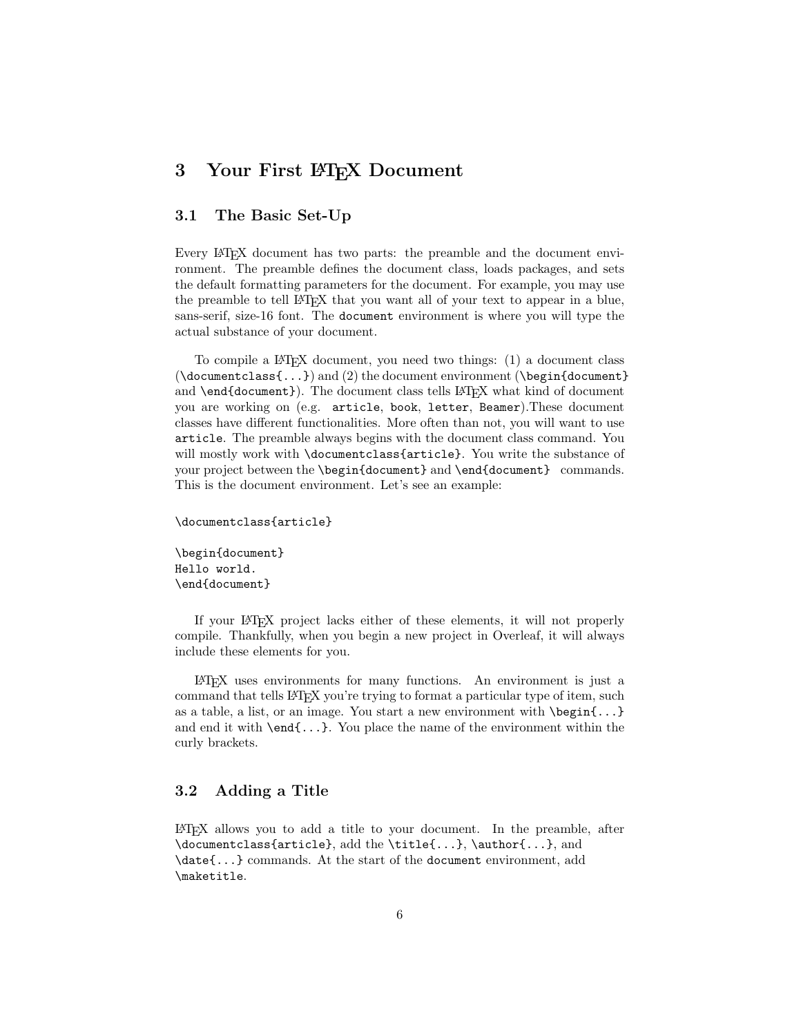# <span id="page-5-0"></span>3 Your First LAT<sub>EX</sub> Document

### <span id="page-5-1"></span>3.1 The Basic Set-Up

Every LAT<sub>EX</sub> document has two parts: the preamble and the document environment. The preamble defines the document class, loads packages, and sets the default formatting parameters for the document. For example, you may use the preamble to tell LATEX that you want all of your text to appear in a blue, sans-serif, size-16 font. The document environment is where you will type the actual substance of your document.

To compile a LATEX document, you need two things: (1) a document class  $(\text{documentclass}\{...)\}$  and (2) the document environment ( $\begin{pmatrix} \text{loginfacent}\end{pmatrix}$ and \end{document}). The document class tells LATEX what kind of document you are working on (e.g. article, book, letter, Beamer).These document classes have different functionalities. More often than not, you will want to use article. The preamble always begins with the document class command. You will mostly work with **\documentclass{article}**. You write the substance of your project between the \begin{document} and \end{document} commands. This is the document environment. Let's see an example:

```
\documentclass{article}
\begin{document}
Hello world.
```
\end{document}

If your LATEX project lacks either of these elements, it will not properly compile. Thankfully, when you begin a new project in Overleaf, it will always include these elements for you.

LATEX uses environments for many functions. An environment is just a command that tells LAT<sub>EX</sub> you're trying to format a particular type of item, such as a table, a list, or an image. You start a new environment with \begin{...} and end it with  $\end{math}$ ...}. You place the name of the environment within the curly brackets.

### <span id="page-5-2"></span>3.2 Adding a Title

LATEX allows you to add a title to your document. In the preamble, after \documentclass{article}, add the \title{...}, \author{...}, and \date{...} commands. At the start of the document environment, add \maketitle.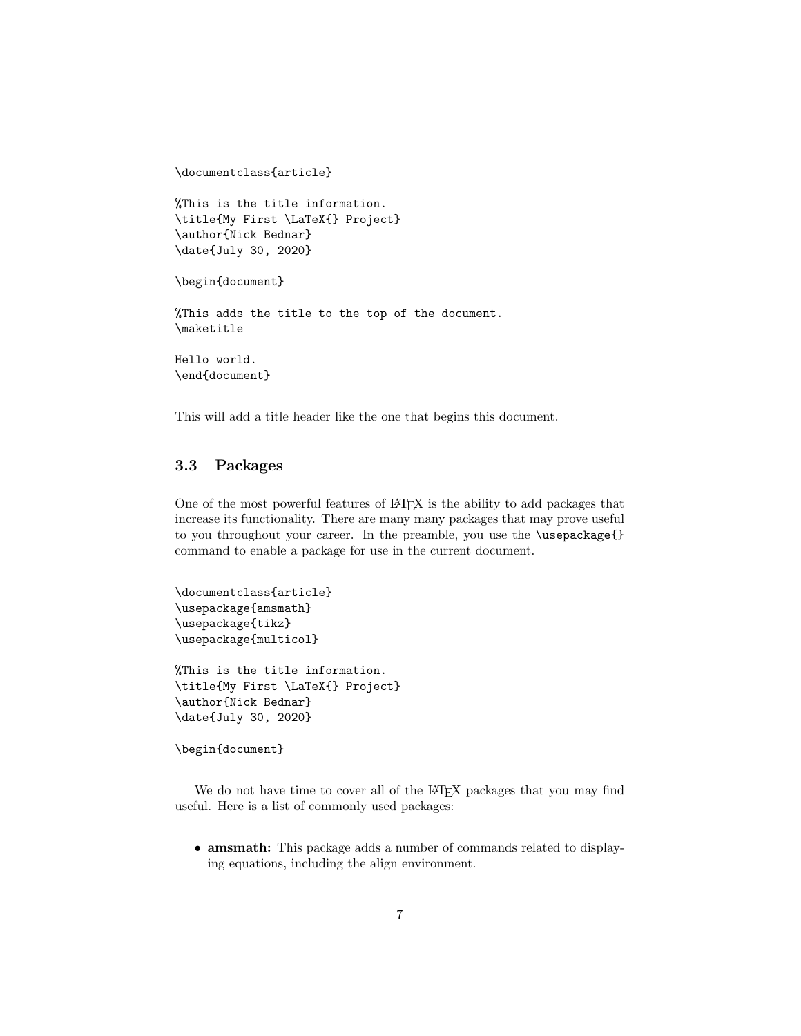```
%This is the title information.
\title{My First \LaTeX{} Project}
\author{Nick Bednar}
\date{July 30, 2020}
\begin{document}
%This adds the title to the top of the document.
\maketitle
Hello world.
\end{document}
```
This will add a title header like the one that begins this document.

### <span id="page-6-0"></span>3.3 Packages

\documentclass{article}

One of the most powerful features of LATEX is the ability to add packages that increase its functionality. There are many many packages that may prove useful to you throughout your career. In the preamble, you use the \usepackage{} command to enable a package for use in the current document.

```
\documentclass{article}
\usepackage{amsmath}
\usepackage{tikz}
\usepackage{multicol}
%This is the title information.
\title{My First \LaTeX{} Project}
\author{Nick Bednar}
```
\date{July 30, 2020}

\begin{document}

We do not have time to cover all of the L<sup>AT</sup>EX packages that you may find useful. Here is a list of commonly used packages:

• amsmath: This package adds a number of commands related to displaying equations, including the align environment.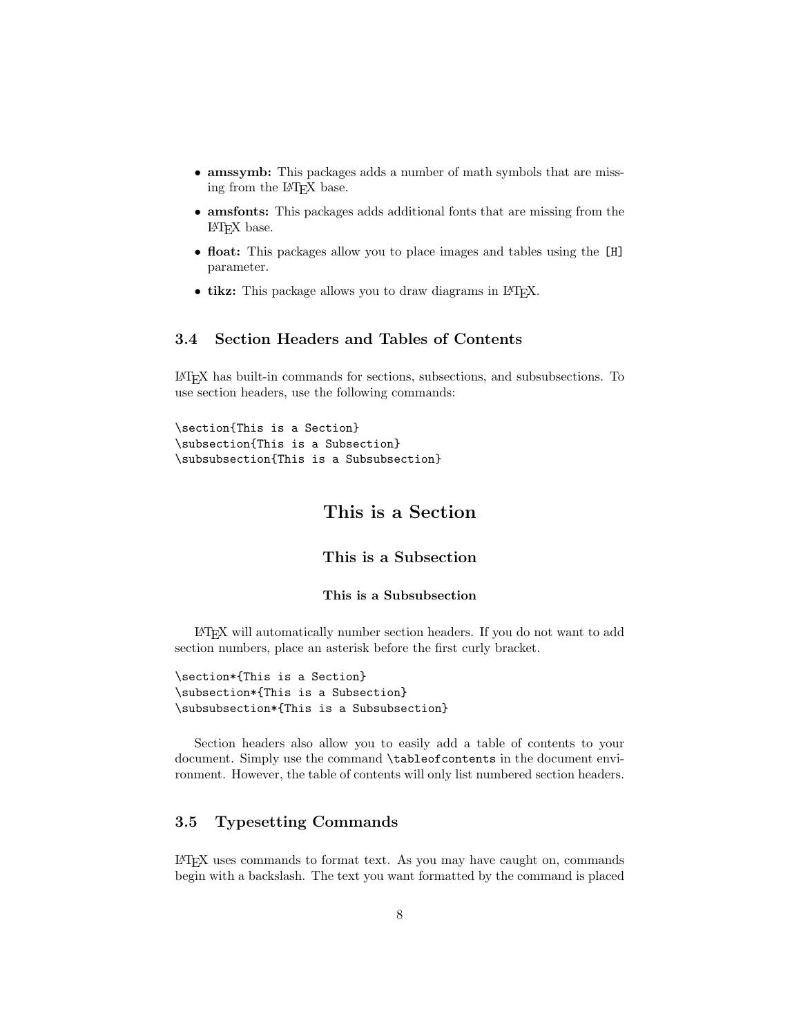- amssymb: This packages adds a number of math symbols that are missing from the L<sup>AT</sup>FX base.
- amsfonts: This packages adds additional fonts that are missing from the LATEX base.
- float: This packages allow you to place images and tables using the [H] parameter.
- tikz: This package allows you to draw diagrams in LAT<sub>E</sub>X.

# <span id="page-7-0"></span>3.4 Section Headers and Tables of Contents

LATEX has built-in commands for sections, subsections, and subsubsections. To use section headers, use the following commands:

\section{This is a Section} \subsection{This is a Subsection} \subsubsection{This is a Subsubsection}

# This is a Section

This is a Subsection

#### This is a Subsubsection

LATEX will automatically number section headers. If you do not want to add section numbers, place an asterisk before the first curly bracket.

```
\section*{This is a Section}
\subsection*{This is a Subsection}
\subsubsection*{This is a Subsubsection}
```
Section headers also allow you to easily add a table of contents to your document. Simply use the command \tableofcontents in the document environment. However, the table of contents will only list numbered section headers.

### <span id="page-7-1"></span>3.5 Typesetting Commands

LATEX uses commands to format text. As you may have caught on, commands begin with a backslash. The text you want formatted by the command is placed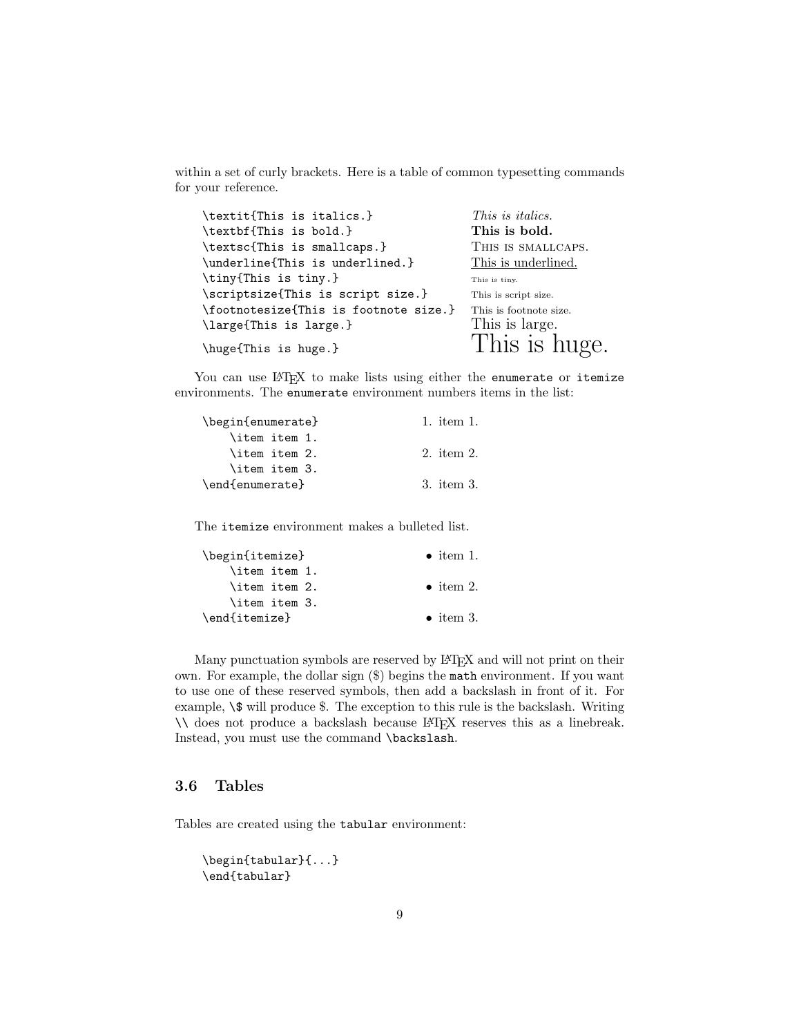within a set of curly brackets. Here is a table of common typesetting commands for your reference.

| This is <i>italics</i> . |
|--------------------------|
| This is bold.            |
| THIS IS SMALLCAPS.       |
| This is underlined.      |
| This is tiny.            |
| This is script size.     |
| This is footnote size.   |
| This is large.           |
| This is huge.            |
|                          |

You can use IAT<sub>E</sub>X to make lists using either the enumerate or itemize environments. The enumerate environment numbers items in the list:

| \begin{enumerate} | 1. item 1. |
|-------------------|------------|
| \item item 1.     |            |
| \item item 2.     | 2. item 2. |
| \item item 3.     |            |
| \end{enumerate}   | 3. item 3. |

The itemize environment makes a bulleted list.

| \begin{itemize} | $\bullet$ item 1. |
|-----------------|-------------------|
| \item item 1.   |                   |
| \item item 2.   | $\bullet$ item 2. |
| \item item 3.   |                   |
| \end{itemize}   | $\bullet$ item 3. |

Many punctuation symbols are reserved by LATEX and will not print on their own. For example, the dollar sign (\$) begins the math environment. If you want to use one of these reserved symbols, then add a backslash in front of it. For example,  $\$\$  will produce  $\$.$  The exception to this rule is the backslash. Writing \\ does not produce a backslash because LATEX reserves this as a linebreak. Instead, you must use the command \backslash.

### <span id="page-8-0"></span>3.6 Tables

Tables are created using the tabular environment:

```
\begin{tabular}{...}
\end{tabular}
```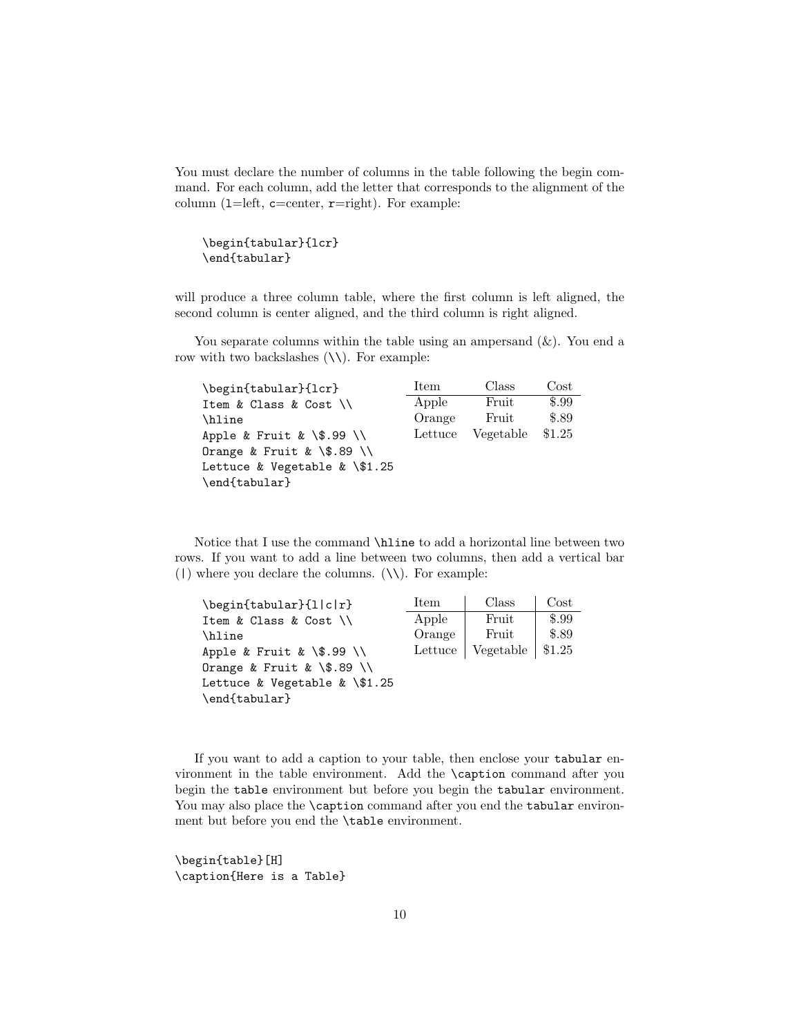You must declare the number of columns in the table following the begin command. For each column, add the letter that corresponds to the alignment of the column (1=left,  $c=center$ ,  $r=right)$ ). For example:

```
\begin{tabular}{lcr}
\end{tabular}
```
will produce a three column table, where the first column is left aligned, the second column is center aligned, and the third column is right aligned.

You separate columns within the table using an ampersand  $(\&)$ . You end a row with two backslashes  $(\setminus)$ . For example:

| \begin{tabular}{lcr}            | Item    | Class     | $\rm Cost$ |
|---------------------------------|---------|-----------|------------|
| Item & Class & Cost $\setminus$ | Apple   | Fruit     | \$.99      |
| \hline                          | Orange  | Fruit     | \$.89      |
| Apple & Fruit & $\$ .99 \ \\    | Lettuce | Vegetable | \$1.25     |
| Orange & Fruit & $\$ .89 \ \\   |         |           |            |
| Lettuce & Vegetable & $\$1.25$  |         |           |            |
| \end{tabular}                   |         |           |            |

Notice that I use the command \hline to add a horizontal line between two rows. If you want to add a line between two columns, then add a vertical bar (1) where you declare the columns.  $(\setminus)$ . For example:

| \begin{tabular}{l c r}          | Item    | Class               | Cost  |
|---------------------------------|---------|---------------------|-------|
| Item & Class & Cost $\setminus$ | Apple   | Fruit               | \$.99 |
| \hline                          | Orange  | Fruit               | \$.89 |
| Apple & Fruit & $\$ .99 \ \\}   | Lettuce | Vegetable   $$1.25$ |       |
| Orange & Fruit & $\$ .89 \      |         |                     |       |
| Lettuce & Vegetable & $\$1.25$  |         |                     |       |
| \end{tabular}                   |         |                     |       |

If you want to add a caption to your table, then enclose your tabular environment in the table environment. Add the \caption command after you begin the table environment but before you begin the tabular environment. You may also place the **\caption** command after you end the tabular environment but before you end the \table environment.

\begin{table}[H] \caption{Here is a Table}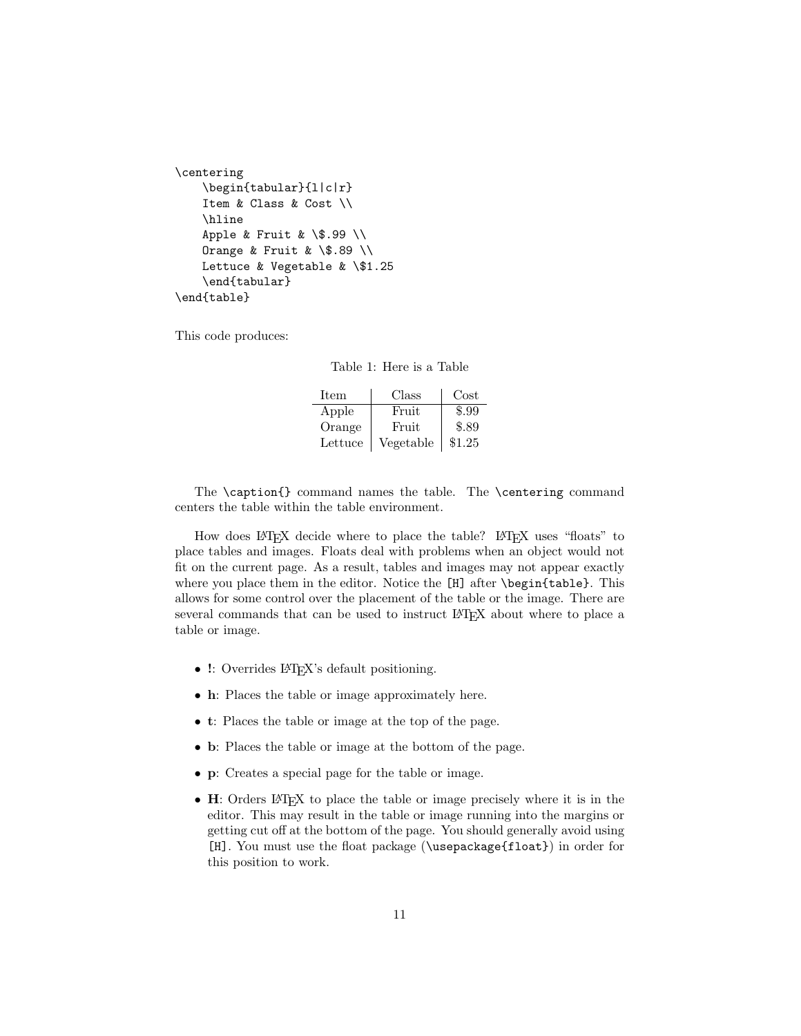```
\centering
   \begin{tabular}{l|c|r}
    Item & Class & Cost \\
    \hline
   Apple & Fruit & \$.99 \{\}Orange & Fruit & \.89 \\
   Lettuce & Vegetable & \$1.25
    \end{tabular}
\end{table}
```
This code produces:

Table 1: Here is a Table

| $_{\rm Item}$ | Class     | Cost   |
|---------------|-----------|--------|
| Apple         | Fruit     | \$.99  |
| Orange        | Fruit     | \$.89  |
| Lettuce       | Vegetable | \$1.25 |

The \caption{} command names the table. The \centering command centers the table within the table environment.

How does LATEX decide where to place the table? LATEX uses "floats" to place tables and images. Floats deal with problems when an object would not fit on the current page. As a result, tables and images may not appear exactly where you place them in the editor. Notice the [H] after \begin{table}. This allows for some control over the placement of the table or the image. There are several commands that can be used to instruct LATEX about where to place a table or image.

- !: Overrides LAT<sub>E</sub>X's default positioning.
- h: Places the table or image approximately here.
- t: Places the table or image at the top of the page.
- b: Places the table or image at the bottom of the page.
- p: Creates a special page for the table or image.
- H: Orders LAT<sub>EX</sub> to place the table or image precisely where it is in the editor. This may result in the table or image running into the margins or getting cut off at the bottom of the page. You should generally avoid using [H]. You must use the float package (\usepackage{float}) in order for this position to work.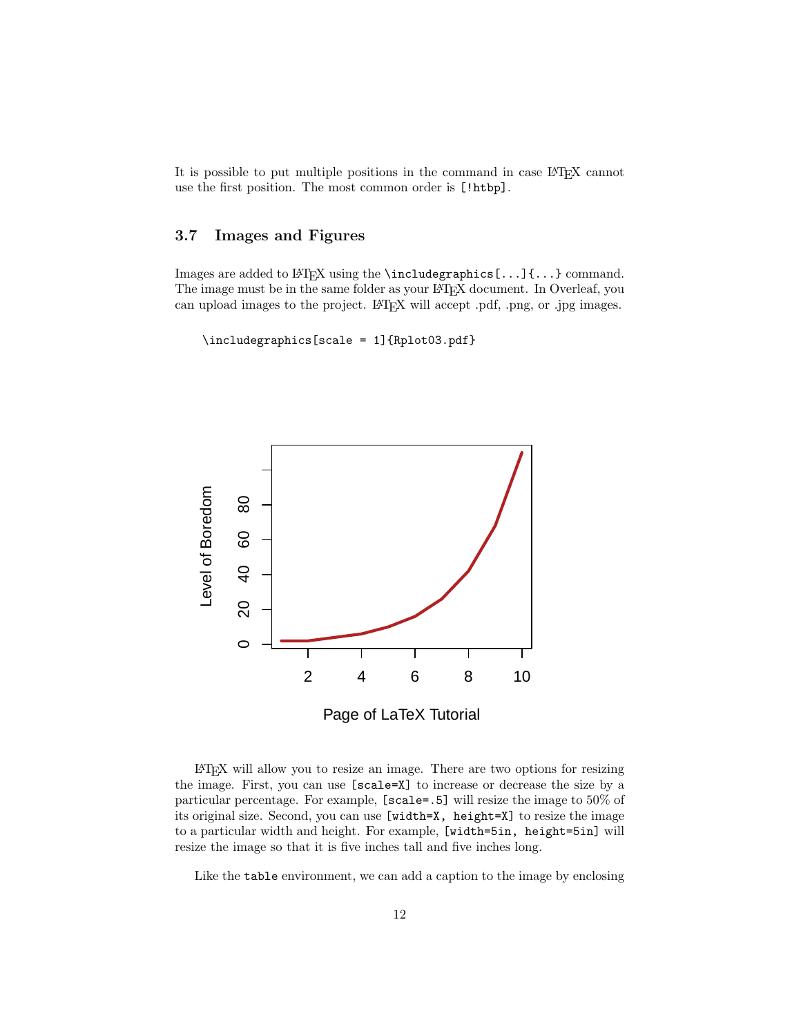It is possible to put multiple positions in the command in case LATEX cannot use the first position. The most common order is [!htbp].

### <span id="page-11-0"></span>3.7 Images and Figures

Images are added to LATEX using the **\includegraphics[...]{...}** command. The image must be in the same folder as your LATEX document. In Overleaf, you can upload images to the project. L<sup>AT</sup>EX will accept .pdf, .png, or .jpg images.

\includegraphics[scale = 1]{Rplot03.pdf}



LATEX will allow you to resize an image. There are two options for resizing the image. First, you can use [scale=X] to increase or decrease the size by a particular percentage. For example, [scale=.5] will resize the image to 50% of its original size. Second, you can use [width=X, height=X] to resize the image to a particular width and height. For example, [width=5in, height=5in] will resize the image so that it is five inches tall and five inches long.

Like the table environment, we can add a caption to the image by enclosing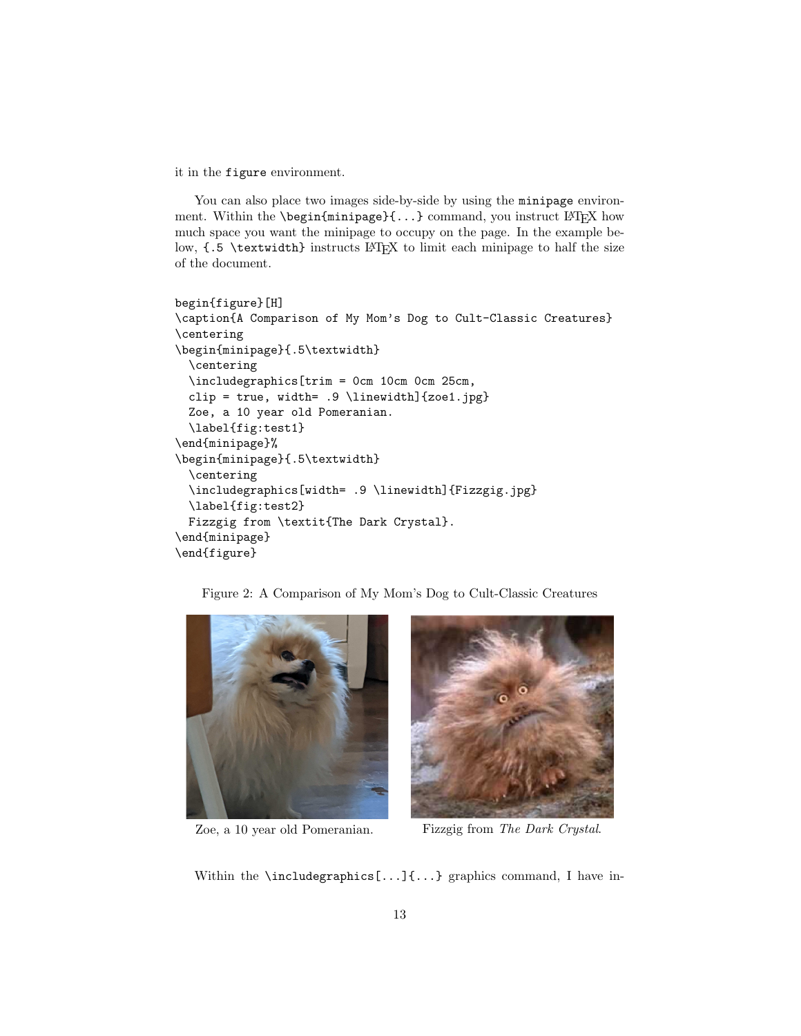it in the figure environment.

You can also place two images side-by-side by using the minipage environment. Within the **\begin{minipage}{...}** command, you instruct LATEX how much space you want the minipage to occupy on the page. In the example below,  $\{ .5 \ \text{text} \}$  instructs LAT<sub>EX</sub> to limit each minipage to half the size of the document.

```
begin{figure}[H]
\caption{A Comparison of My Mom's Dog to Cult-Classic Creatures}
\centering
\begin{minipage}{.5\textwidth}
  \centering
  \includegraphics[trim = 0cm 10cm 0cm 25cm,
  clip = true, width= .9 \ \line{t} . The \{zoe1.jpg\}Zoe, a 10 year old Pomeranian.
  \label{fig:test1}
\end{minipage}%
\begin{minipage}{.5\textwidth}
  \centering
  \includegraphics[width= .9 \linewidth]{Fizzgig.jpg}
 \label{fig:test2}
 Fizzgig from \textit{The Dark Crystal}.
\end{minipage}
\end{figure}
```






Zoe, a 10 year old Pomeranian. Fizzgig from The Dark Crystal.

Within the **\includegraphics[...]{...}** graphics command, I have in-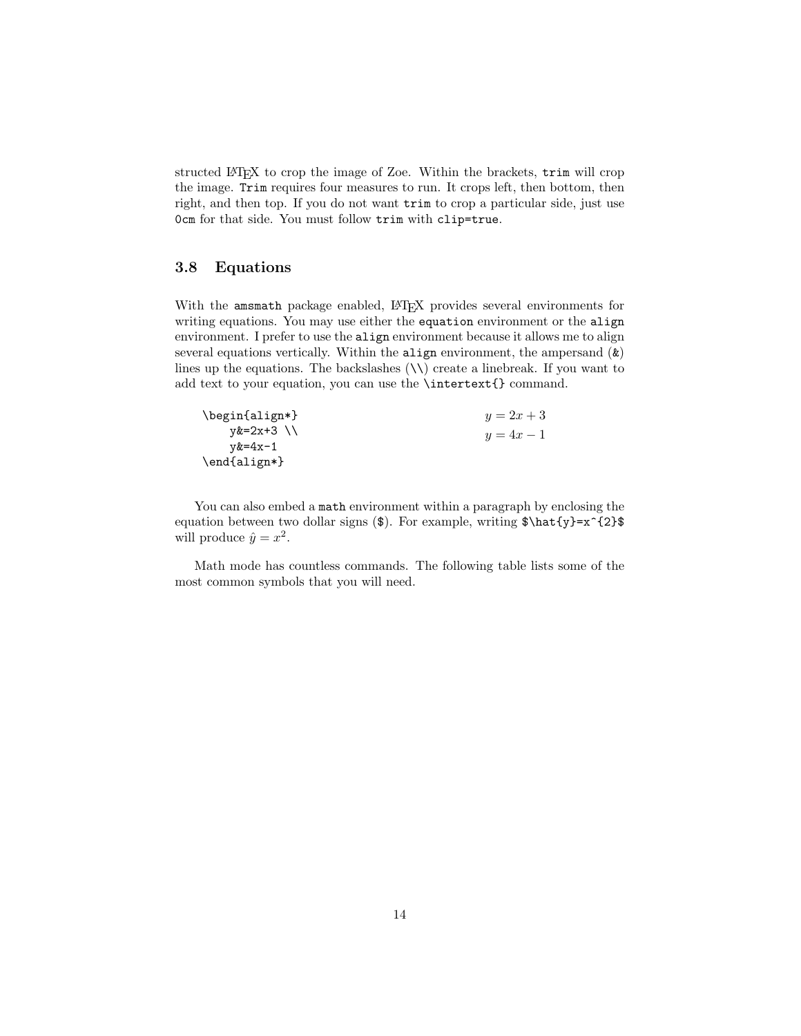structed LATEX to crop the image of Zoe. Within the brackets, trim will crop the image. Trim requires four measures to run. It crops left, then bottom, then right, and then top. If you do not want trim to crop a particular side, just use 0cm for that side. You must follow trim with clip=true.

### <span id="page-13-0"></span>3.8 Equations

With the amsmath package enabled, LATEX provides several environments for writing equations. You may use either the equation environment or the align environment. I prefer to use the align environment because it allows me to align several equations vertically. Within the align environment, the ampersand (&) lines up the equations. The backslashes  $(\setminus \mathcal{E})$  create a linebreak. If you want to add text to your equation, you can use the \intertext{} command.

| \begin{align*} | $y = 2x + 3$ |
|----------------|--------------|
| $y&=2x+3$ \\   | $y = 4x - 1$ |
| $v&=4x-1$      |              |
| $\end{align*}$ |              |

You can also embed a math environment within a paragraph by enclosing the equation between two dollar signs (\$). For example, writing  $\hat{y}=\frac{2}{\$ will produce  $\hat{y} = x^2$ .

Math mode has countless commands. The following table lists some of the most common symbols that you will need.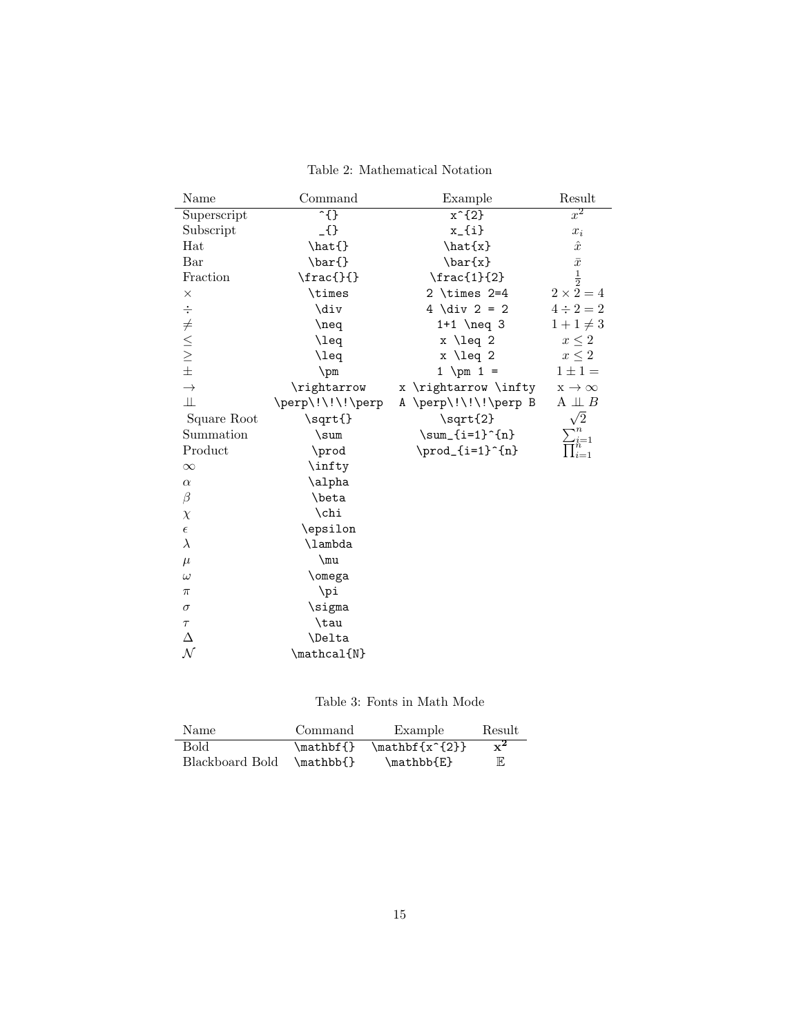Table 2: Mathematical Notation

| Name                                                                  | Command               | Example              | Result                 |
|-----------------------------------------------------------------------|-----------------------|----------------------|------------------------|
| Superscript                                                           | $\overline{\cdot}$ {} | $x^{\text{-}}$ {2}   | $x^2$                  |
| Subscript                                                             | $\Omega$              | $x_{-}$ {i}          | $x_i$                  |
| Hat                                                                   | \hat{}                | $\hat{x}$            | $\hat{x}$              |
| Bar                                                                   | \bar{}                | \bar{x}              | $\bar{x}$              |
| Fraction                                                              | $\frac{\}{\}$         | $\frac{1}{2}$        | $\frac{1}{2}$          |
| $\times$                                                              | \times                | $2 \times 2 = 4$     | $2 \times 2 = 4$       |
|                                                                       | \div                  | $4 \div 2 = 2$       | $4 \div 2 = 2$         |
| $\frac{1}{2}$ $\frac{1}{2}$ $\frac{1}{2}$ $\frac{1}{2}$ $\frac{1}{2}$ | $\neq$                | $1+1$ \neq 3         | $1 + 1 \neq 3$         |
|                                                                       | \leq                  | $x \leq 2$           | $x\leq 2$              |
|                                                                       | \leq                  | $x \leq 2$           | $x \leq 2$             |
|                                                                       | $\pm$                 | 1 \pm 1 =            | $1 \pm 1 =$            |
| $\rightarrow$                                                         | \rightarrow           | x \rightarrow \infty | $x \rightarrow \infty$ |
| Щ                                                                     | \perp\!\!\!\perp      | A \perp\!\!\!\perp B | $A \perp\!\!\!\perp B$ |
| Square Root                                                           | \sqrt{}               | $\sqrt{\sqrt{2}}$    | /2                     |
| Summation                                                             | $\sum$                | $\sum_{i=1}^{n}$     |                        |
| Product                                                               | \prod                 | \prod_{i=1}^{n}      | $\text{T}_{i=1}^n$     |
| $\infty$                                                              | \infty                |                      |                        |
| $\alpha$                                                              | \alpha                |                      |                        |
| $\beta$                                                               | \beta                 |                      |                        |
| $\chi$                                                                | \chi                  |                      |                        |
| $\epsilon$                                                            | \epsilon              |                      |                        |
| $\lambda$                                                             | \lambda               |                      |                        |
| $\mu$                                                                 | $\mu$                 |                      |                        |
| $\omega$                                                              | \omega                |                      |                        |
| $\pi$                                                                 | \pi                   |                      |                        |
| $\sigma$                                                              | \sigma                |                      |                        |
| $\tau$                                                                | \tau                  |                      |                        |
| Δ                                                                     | <b>\Delta</b>         |                      |                        |
| $\mathcal N$                                                          | $\mathcal{N}$         |                      |                        |

Table 3: Fonts in Math Mode

| Name            | Command   | Example          | Result         |
|-----------------|-----------|------------------|----------------|
| Bold            | \mathbf{} | $\mathbf{x^{2}}$ | $\mathbf{x}^2$ |
| Blackboard Bold | \mathbb{} | \mathbb{E}       | E              |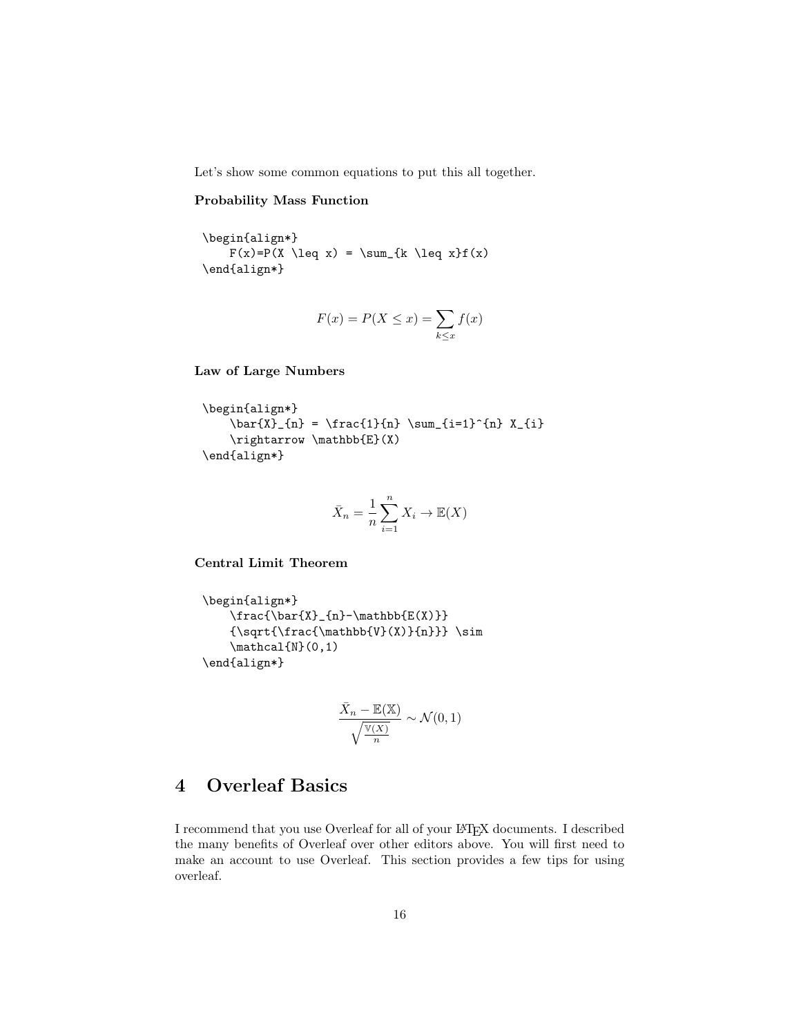Let's show some common equations to put this all together.

#### Probability Mass Function

\begin{align\*}  $F(x)=P(X \leq x) = \sum_{k \leq x}f(x)$ \end{align\*}

$$
F(x) = P(X \le x) = \sum_{k \le x} f(x)
$$

Law of Large Numbers

```
\begin{align*}
    \bar{X}_{n} = \frac{1}{n} \sum_{i=1}^{n} X_{i}\rightarrow \mathbb{E}(X)
\end{align*}
```

$$
\bar{X}_n = \frac{1}{n} \sum_{i=1}^n X_i \to \mathbb{E}(X)
$$

Central Limit Theorem

```
\begin{align*}
    \frac{\bar{X}_{n}-\mathbb{E(X)} }{n}{\sqrt{\frac{\mathbb{V}(\mathbf{X})}{n}} } \sim\mathcal{N}(0,1)\end{align*}
```

$$
\frac{\bar{X}_n - \mathbb{E}(\mathbb{X})}{\sqrt{\frac{\mathbb{V}(X)}{n}}} \sim \mathcal{N}(0, 1)
$$

# <span id="page-15-0"></span>4 Overleaf Basics

I recommend that you use Overleaf for all of your LATEX documents. I described the many benefits of Overleaf over other editors above. You will first need to make an account to use Overleaf. This section provides a few tips for using overleaf.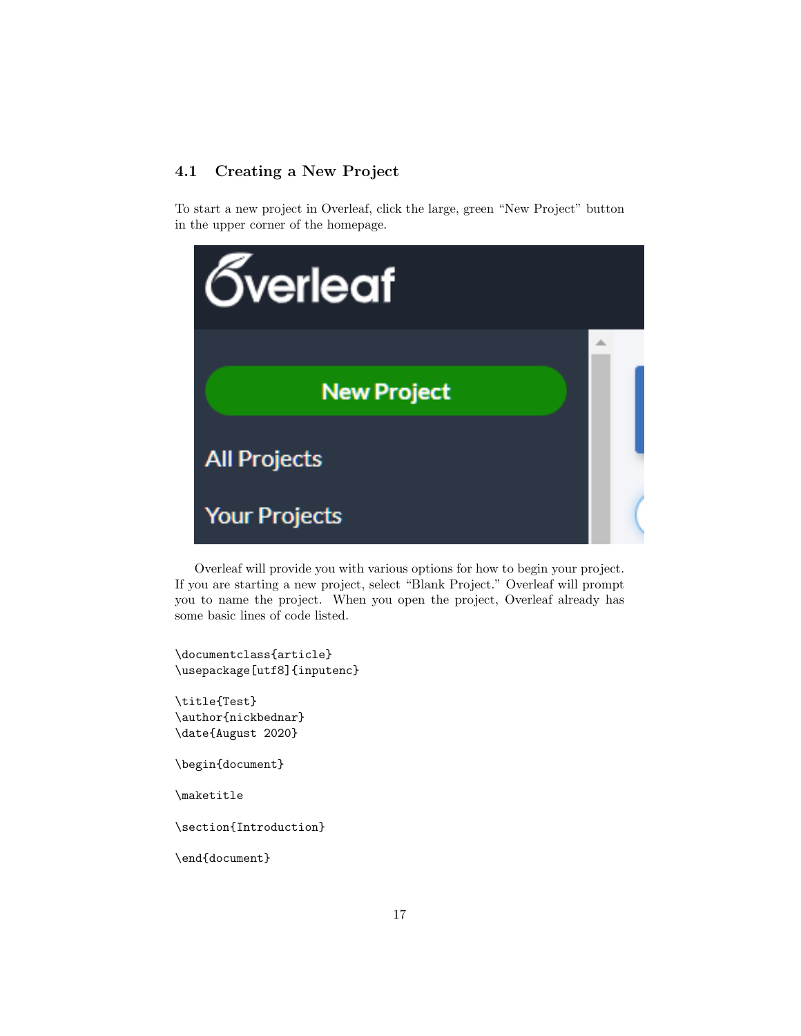# <span id="page-16-0"></span>4.1 Creating a New Project

To start a new project in Overleaf, click the large, green "New Project" button in the upper corner of the homepage.



Overleaf will provide you with various options for how to begin your project. If you are starting a new project, select "Blank Project." Overleaf will prompt you to name the project. When you open the project, Overleaf already has some basic lines of code listed.

\documentclass{article} \usepackage[utf8]{inputenc}

\title{Test} \author{nickbednar} \date{August 2020}

\begin{document}

\maketitle

\section{Introduction}

\end{document}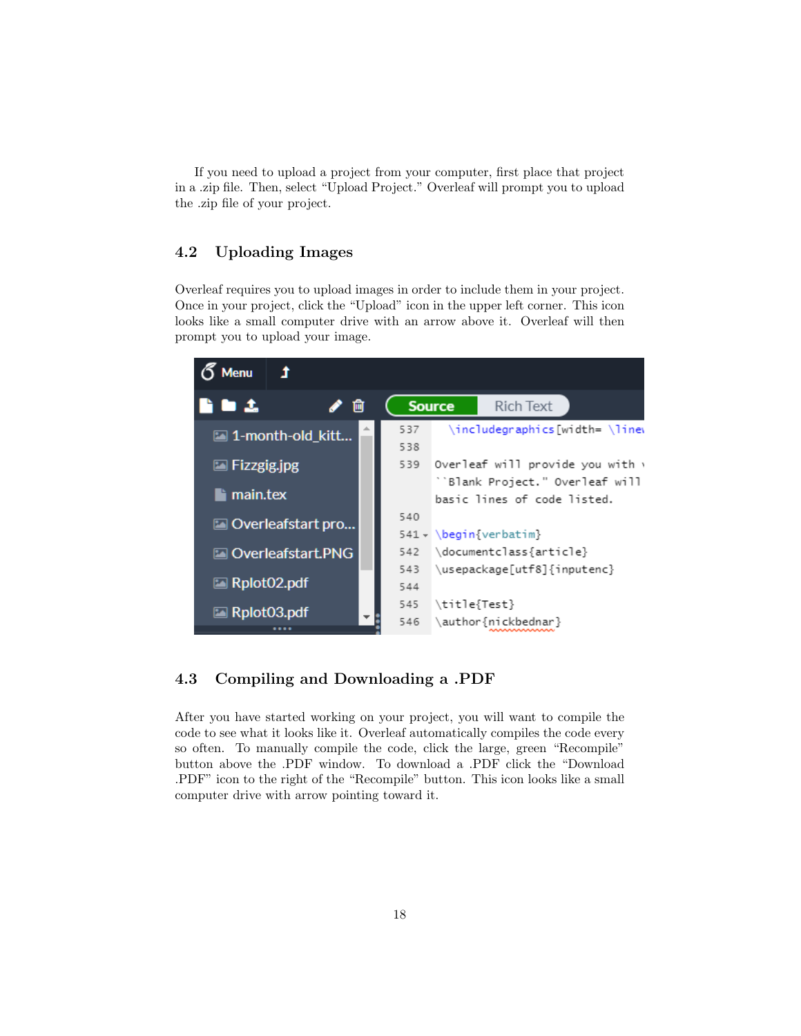If you need to upload a project from your computer, first place that project in a .zip file. Then, select "Upload Project." Overleaf will prompt you to upload the .zip file of your project.

# <span id="page-17-0"></span>4.2 Uploading Images

Overleaf requires you to upload images in order to include them in your project. Once in your project, click the "Upload" icon in the upper left corner. This icon looks like a small computer drive with an arrow above it. Overleaf will then prompt you to upload your image.



# <span id="page-17-1"></span>4.3 Compiling and Downloading a .PDF

After you have started working on your project, you will want to compile the code to see what it looks like it. Overleaf automatically compiles the code every so often. To manually compile the code, click the large, green "Recompile" button above the .PDF window. To download a .PDF click the "Download .PDF" icon to the right of the "Recompile" button. This icon looks like a small computer drive with arrow pointing toward it.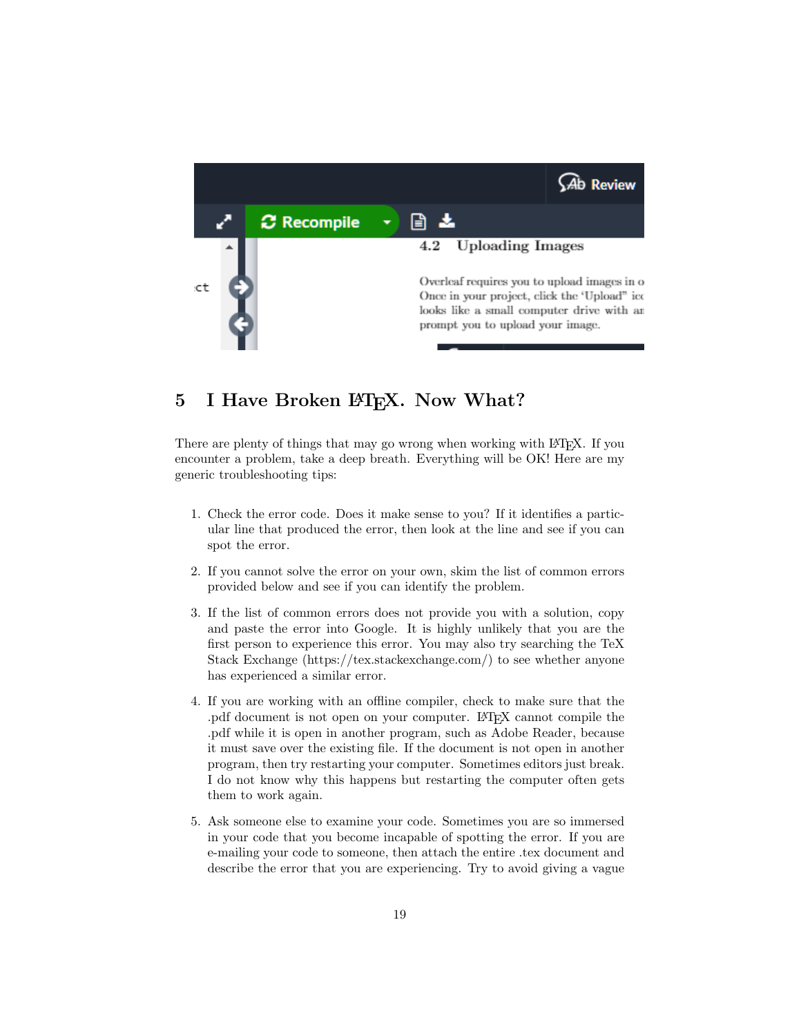

# <span id="page-18-0"></span>5 I Have Broken LAT<sub>EX</sub>. Now What?

There are plenty of things that may go wrong when working with L<sup>AT</sup>EX. If you encounter a problem, take a deep breath. Everything will be OK! Here are my generic troubleshooting tips:

- 1. Check the error code. Does it make sense to you? If it identifies a particular line that produced the error, then look at the line and see if you can spot the error.
- 2. If you cannot solve the error on your own, skim the list of common errors provided below and see if you can identify the problem.
- 3. If the list of common errors does not provide you with a solution, copy and paste the error into Google. It is highly unlikely that you are the first person to experience this error. You may also try searching the TeX Stack Exchange (https://tex.stackexchange.com/) to see whether anyone has experienced a similar error.
- 4. If you are working with an offline compiler, check to make sure that the .pdf document is not open on your computer. LATEX cannot compile the .pdf while it is open in another program, such as Adobe Reader, because it must save over the existing file. If the document is not open in another program, then try restarting your computer. Sometimes editors just break. I do not know why this happens but restarting the computer often gets them to work again.
- 5. Ask someone else to examine your code. Sometimes you are so immersed in your code that you become incapable of spotting the error. If you are e-mailing your code to someone, then attach the entire .tex document and describe the error that you are experiencing. Try to avoid giving a vague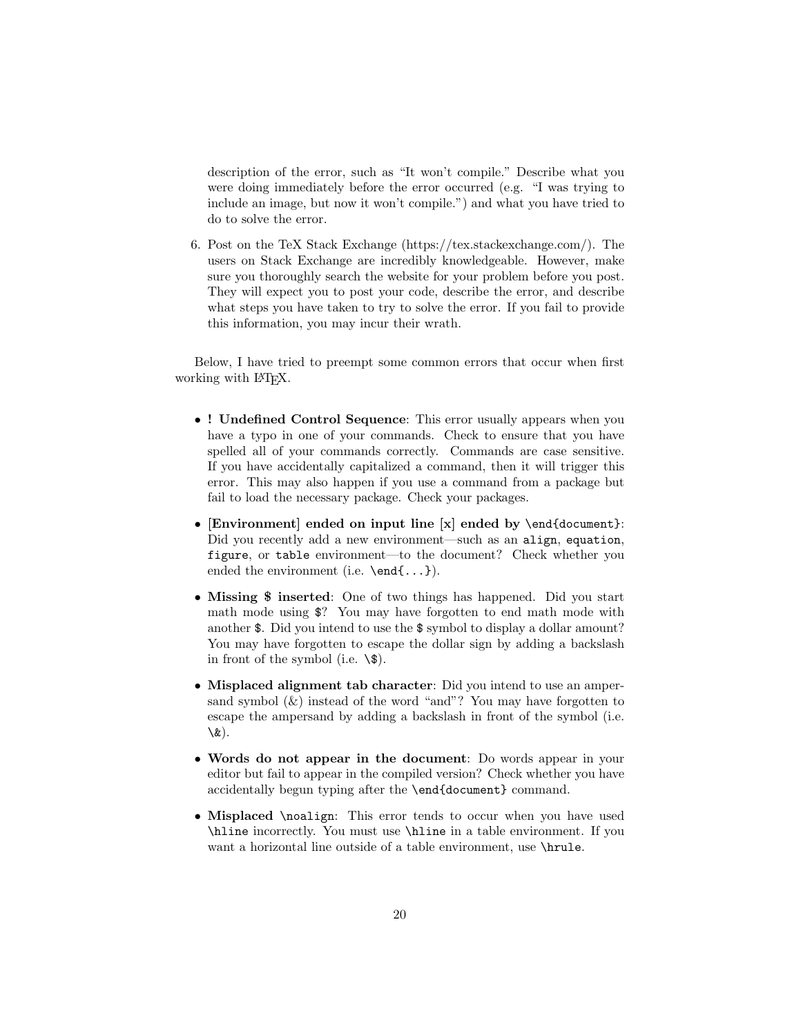description of the error, such as "It won't compile." Describe what you were doing immediately before the error occurred (e.g. "I was trying to include an image, but now it won't compile.") and what you have tried to do to solve the error.

6. Post on the TeX Stack Exchange (https://tex.stackexchange.com/). The users on Stack Exchange are incredibly knowledgeable. However, make sure you thoroughly search the website for your problem before you post. They will expect you to post your code, describe the error, and describe what steps you have taken to try to solve the error. If you fail to provide this information, you may incur their wrath.

Below, I have tried to preempt some common errors that occur when first working with L<sup>AT</sup>EX.

- ! Undefined Control Sequence: This error usually appears when you have a typo in one of your commands. Check to ensure that you have spelled all of your commands correctly. Commands are case sensitive. If you have accidentally capitalized a command, then it will trigger this error. This may also happen if you use a command from a package but fail to load the necessary package. Check your packages.
- [Environment] ended on input line [x] ended by \end{document}: Did you recently add a new environment—such as an align, equation, figure, or table environment—to the document? Check whether you ended the environment (i.e. \end{...}).
- Missing \$ inserted: One of two things has happened. Did you start math mode using \$? You may have forgotten to end math mode with another \$. Did you intend to use the \$ symbol to display a dollar amount? You may have forgotten to escape the dollar sign by adding a backslash in front of the symbol (i.e.  $\setminus$ \$).
- Misplaced alignment tab character: Did you intend to use an ampersand symbol  $(\&)$  instead of the word "and"? You may have forgotten to escape the ampersand by adding a backslash in front of the symbol (i.e. \&).
- Words do not appear in the document: Do words appear in your editor but fail to appear in the compiled version? Check whether you have accidentally begun typing after the \end{document} command.
- Misplaced \noalign: This error tends to occur when you have used \hline incorrectly. You must use \hline in a table environment. If you want a horizontal line outside of a table environment, use **\hrule**.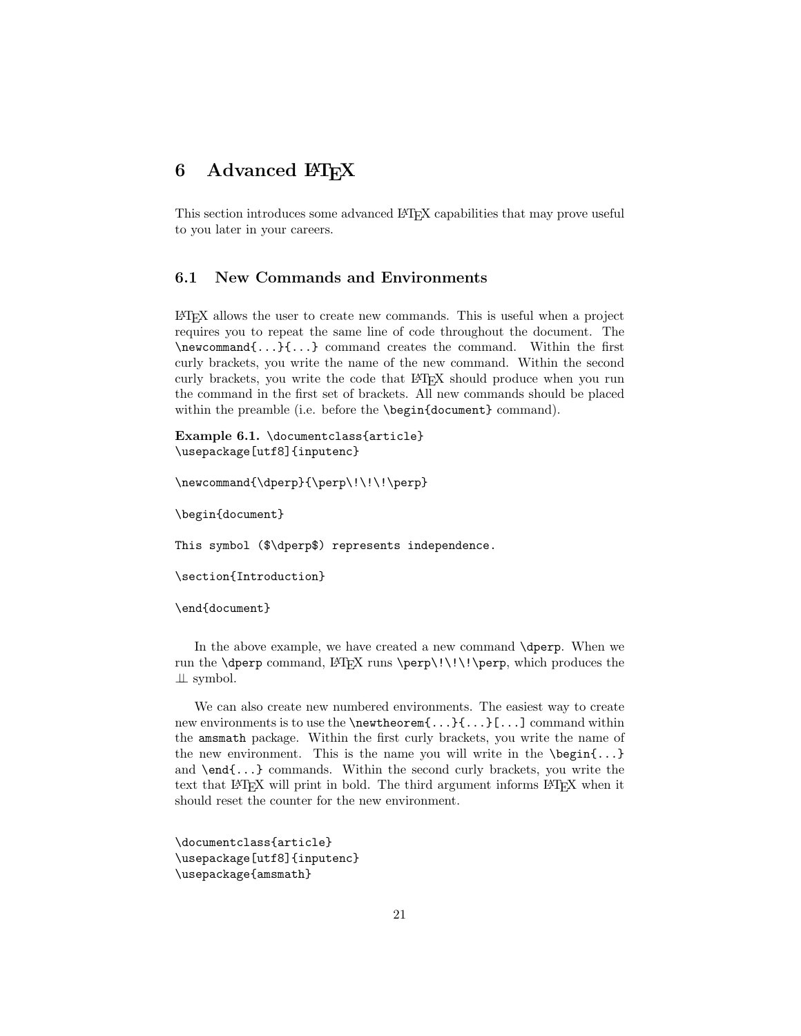# <span id="page-20-0"></span>6 Advanced LAT<sub>E</sub>X

This section introduces some advanced LAT<sub>E</sub>X capabilities that may prove useful to you later in your careers.

# <span id="page-20-1"></span>6.1 New Commands and Environments

LATEX allows the user to create new commands. This is useful when a project requires you to repeat the same line of code throughout the document. The \newcommand{...}{...} command creates the command. Within the first curly brackets, you write the name of the new command. Within the second curly brackets, you write the code that LAT<sub>EX</sub> should produce when you run the command in the first set of brackets. All new commands should be placed within the preamble (i.e. before the **\begin{document}** command).

Example 6.1. \documentclass{article} \usepackage[utf8]{inputenc}

\newcommand{\dperp}{\perp\!\!\!\perp}

\begin{document}

This symbol (\$\dperp\$) represents independence.

\section{Introduction}

\end{document}

In the above example, we have created a new command \dperp. When we run the **\dperp** command, LAT<sub>E</sub>X runs **\perp\!\!\!\perp**, which produces the ⊥⊥ symbol.

We can also create new numbered environments. The easiest way to create new environments is to use the \newtheorem{...}{...}[...] command within the amsmath package. Within the first curly brackets, you write the name of the new environment. This is the name you will write in the  $\begin{bmatrix} \begin{array}{c} \Delta & \Delta \\ \end{array} \end{bmatrix}$ and \end{...} commands. Within the second curly brackets, you write the text that LAT<sub>EX</sub> will print in bold. The third argument informs LAT<sub>EX</sub> when it should reset the counter for the new environment.

\documentclass{article} \usepackage[utf8]{inputenc} \usepackage{amsmath}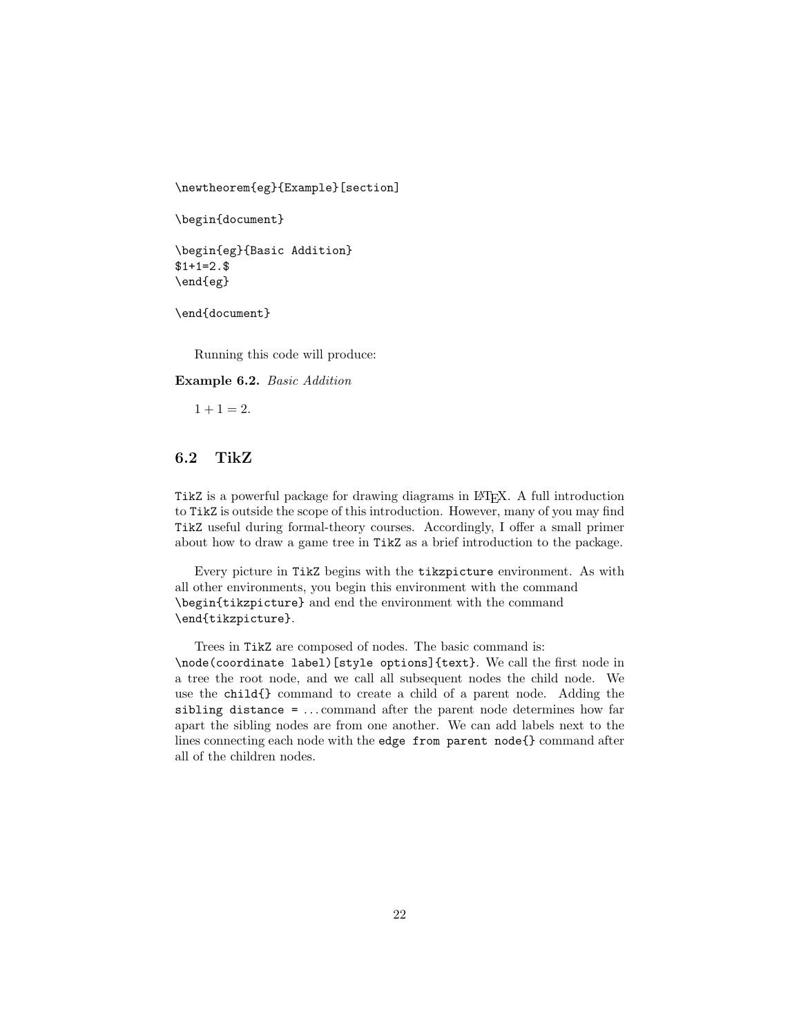\newtheorem{eg}{Example}[section]

```
\begin{document}
```

```
\begin{eg}{Basic Addition}
$1+1=2.\end{eg}
```
\end{document}

Running this code will produce:

Example 6.2. Basic Addition

 $1 + 1 = 2.$ 

### <span id="page-21-0"></span>6.2 TikZ

TikZ is a powerful package for drawing diagrams in LATEX. A full introduction to TikZ is outside the scope of this introduction. However, many of you may find TikZ useful during formal-theory courses. Accordingly, I offer a small primer about how to draw a game tree in TikZ as a brief introduction to the package.

Every picture in TikZ begins with the tikzpicture environment. As with all other environments, you begin this environment with the command \begin{tikzpicture} and end the environment with the command \end{tikzpicture}.

Trees in TikZ are composed of nodes. The basic command is:

\node(coordinate label)[style options]{text}. We call the first node in a tree the root node, and we call all subsequent nodes the child node. We use the child{} command to create a child of a parent node. Adding the sibling distance = ... command after the parent node determines how far apart the sibling nodes are from one another. We can add labels next to the lines connecting each node with the edge from parent node{} command after all of the children nodes.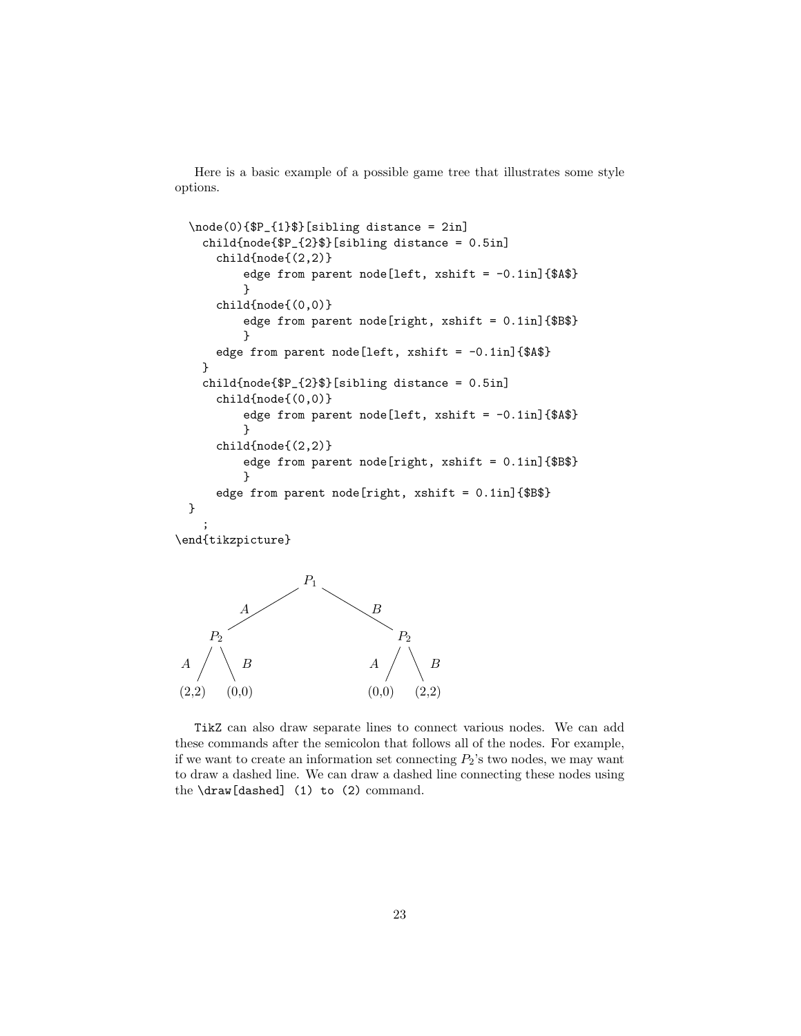Here is a basic example of a possible game tree that illustrates some style options.

```
\node(0){$P_{1}$}[sibling distance = 2in]
   child{node{$P_{2}$}[sibling distance = 0.5in]
     child{node{(2,2)}
          edge from parent node[left, xshift = -0.1in]{$A$}
          }
     child{node{(0,0)}
          edge from parent node[right, xshift = 0.1in]{$B$}
          }
     edge from parent node[left, xshift = -0.1in]{$A$}
   }
   child{node{$P_{2}$}[sibling distance = 0.5in]
      child{node{(0,0)}
          edge from parent node[left, xshift = -0.1in]{$A$}
          }
     child{node{(2,2)}
          edge from parent node[right, xshift = 0.1in]{$B$}
          }
     edge from parent node[right, xshift = 0.1in]{$B$}
 }
    ;
\end{tikzpicture}
```


TikZ can also draw separate lines to connect various nodes. We can add these commands after the semicolon that follows all of the nodes. For example, if we want to create an information set connecting  $P_2$ 's two nodes, we may want to draw a dashed line. We can draw a dashed line connecting these nodes using the \draw[dashed] (1) to (2) command.